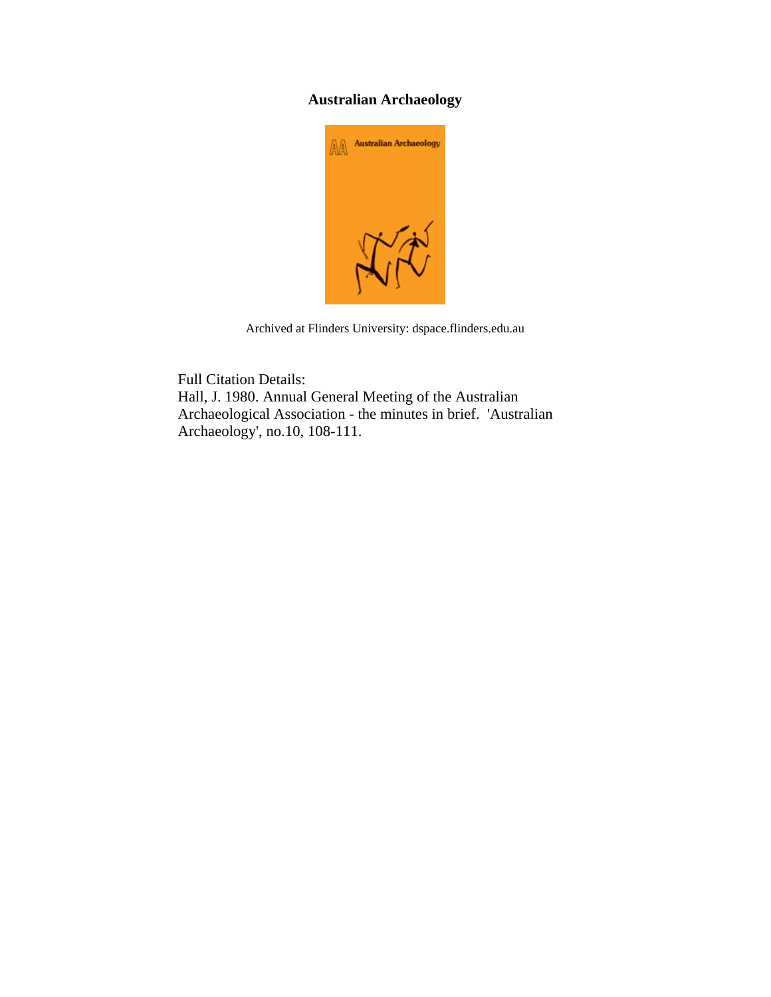# **Australian Archaeology**



Archived at Flinders University: dspace.flinders.edu.au

Full Citation Details: Hall, J. 1980. Annual General Meeting of the Australian Archaeological Association - the minutes in brief. 'Australian Archaeology', no.10, 108-111.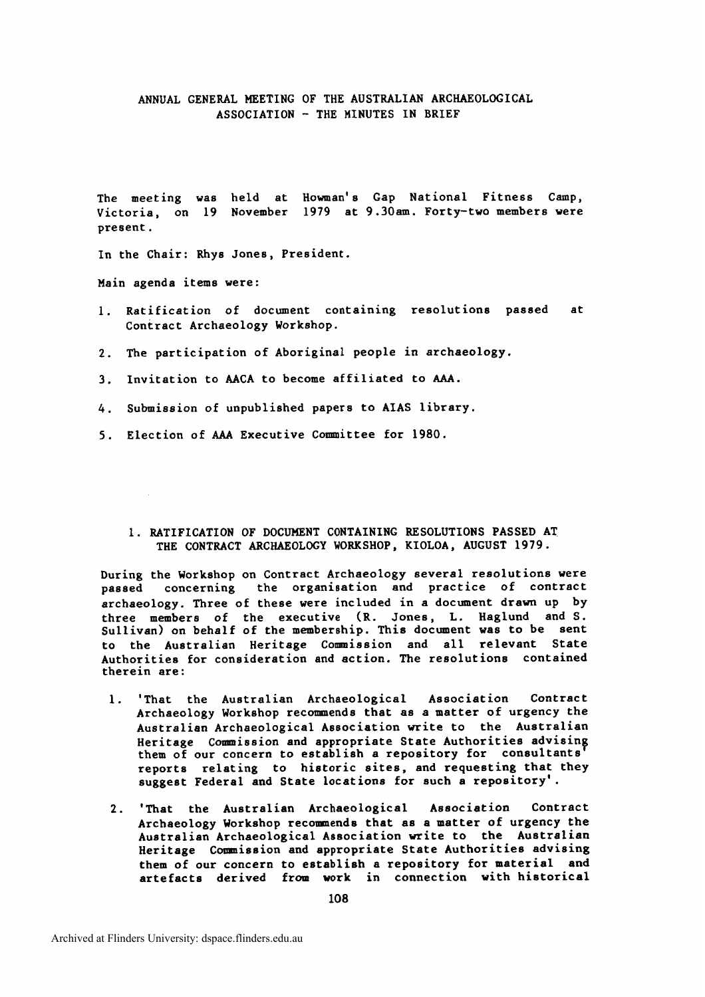## **ANNUAL GENERAL MEETING OF THE** AUSTRALIAN ARCHAEOLOGICAL **ASSOCIATION** - THE **MINUTES IN BRIEF**

The meeting was held at Howman's Gap National Fitness Camp, **Victoria, on 19 November 1979 at 9.30am. Forty-two members were present.** 

**In the Chair: Rhys Jones, President.** 

**Main agenda items were:** 

- **1. Ratification of document containing resolutions passed at contract Archaeology Workshop.**
- **2. The participation of Aboriginal people in archaeology.**
- **3. Invitation to AACA to become affiliated to AAA.**
- **4. Submission of unpublished papers to AIAS library.**
- **5. Election of AAA Executive Committee for 1980.** 
	- **1. RATIFICATION OF DOCUMENT CONTAINING RESOLUTIONS PASSED AT. THE CONTRACT ARCHAEOLOGY WORKSHOP, KIOLOA, AUGUST 1979.**

**During the Workshop on Contract Archaeology several resolutions were passed concerning the organisation and practice of contract archaeology. Three of these were included in a document drawn up by three members of the executive (R. Jones, L. Haglund and S.**  Sullivan) on behalf of the membership. This document was to be sent **to the Australian Heritage Commission and all relevant State Authorities for consideration and action. The resolutions contained therein are:** 

- **1. 'That the Australian Archaeological Association Contract Archaeology Workshop recommends that as a matter of urgency the Australian Archaeological Association write to the Australian Heritage** Commission and appropriate State Authorities advising **them of our concern to establish a repository for consultants** *8*  **reports relating to historic sites, and requesting that they suggest Federal and State locations for such a repository'.**
- **2. 'That the Australian Archaeological Association Contract Archaeology Workshop recomnends that as a matter of urgency the Australian Archaeological Association write to the Australian Heritage Comnission and appropriate State Authorities advising them of our concern to establish a repository for material and artefacts derived from work in connection with historical**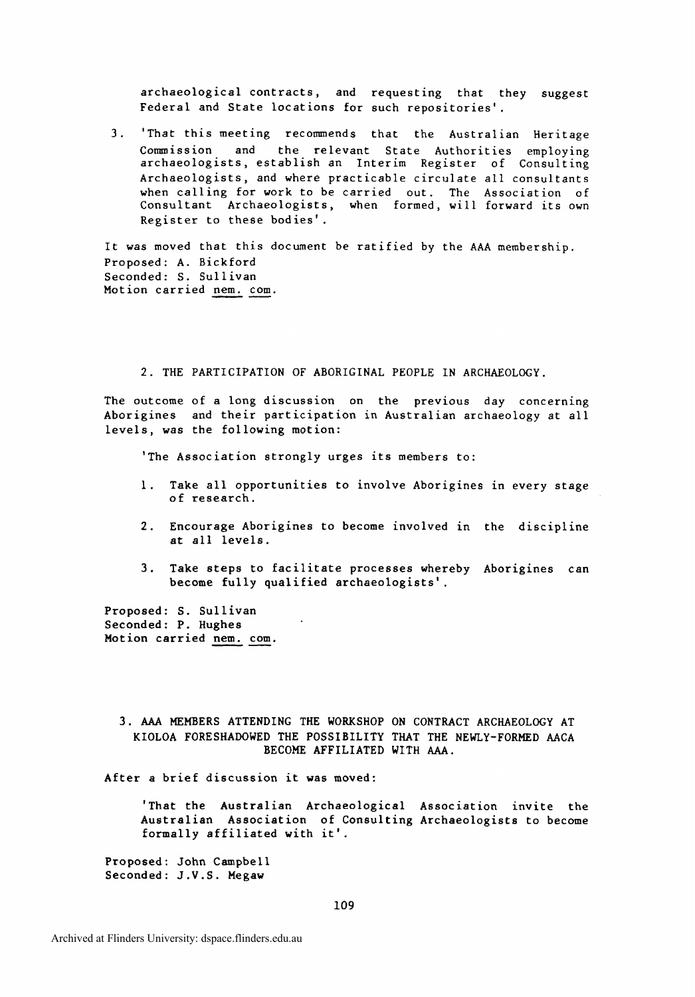archaeological contracts, and requesting that they suggest Federal and State locations for such repositories'.

3. 'That this meeting recommends that the Australian Heritage Commission and the relevant State Authorities employing archaeologists, establish an Interim Register of Consulting Archaeologists, and where practicable circulate all consultants when calling for work to be carried out. The Association of Consultant Archaeologists, when formed, will forward its own Register to these bodies'.

It was moved that this document be ratified by the AAA membership. Proposed: A. Bickford Seconded: S. Sullivan Motion carried nem. com.

2. THE PARTICIPATION OF ABORIGINAL PEOPLE IN ARCHAEOLOGY.

The outcome of a long discussion on the previous day concerning Aborigines and their participation in Australian archaeology at all levels, was the following motion:

'The Association strongly urges its members to:

- 1. Take all opportunities to involve Aborigines in every stage of research.
- 2. Encourage Aborigines to become involved in the discipline at all levels.
- 3. Take steps to facilitate processes whereby Aborigines can become fully qualified archaeologists'.

Proposed: S. Sullivan Seconded: P. Hughes Motion carried nem. com.

3. AAA MEMBERS ATTENDING THE WORKSHOP ON CONTRACT ARCHAEOLOGY AT KIOLOA FORESHADOWED THE POSSIBILITY THAT THE NEWLY-FORMED AACA BECOME AFFILIATED WITH AAA.

After a brief discussion it was moved:

'That the Australian Archaeological Association invite the Australian Association of Consulting Archaeologists to become formally affiliated with it'.

Proposed: John Campbell Seconded: J.V.S. Megaw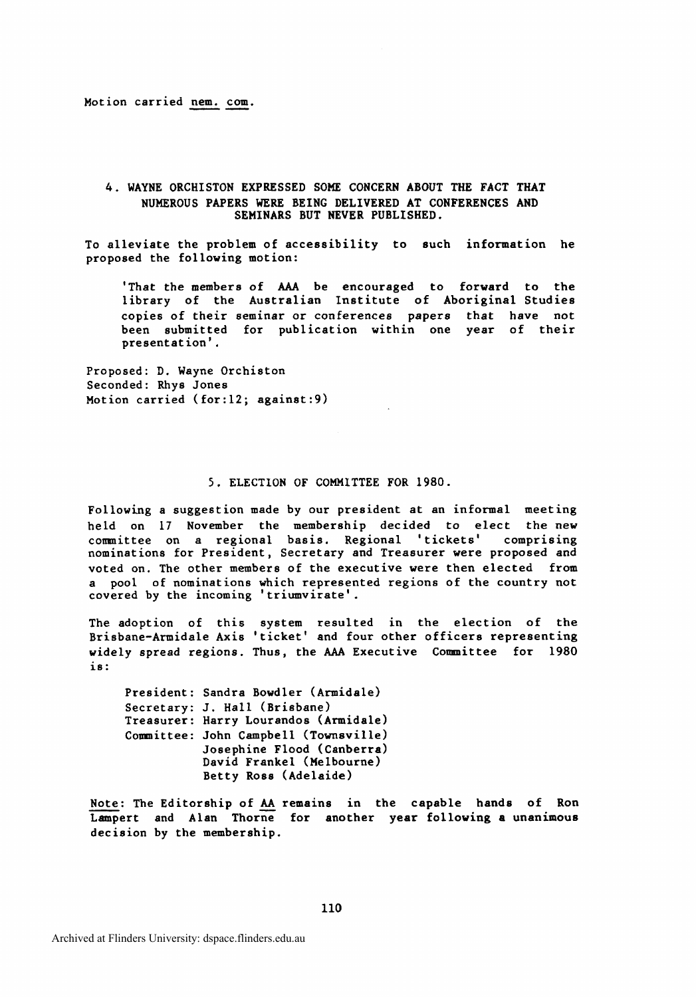Motion carried nem. com.

### 4. WAYNE ORCHISTON EXPRESSED **SOME** CONCERN ABOUT THE FACT THAT NUMEROUS PAPERS WERE BEING DELIVERED AT CONFERENCES AND SEMINARS BUT NEVER PUBLISHED.

To alleviate the problem of accessibility to such information he proposed the following motion:

'That the members of AAA be encouraged to forward to the library of the Australian Institute of Aboriginal Studies copies of their seminar or conferences papers that have not been submitted for publication within one year of their presentation'.

Proposed: D. Wayne Orchiston Seconded: Rhys Jones Motion carried (for:12; against:9)

#### **5.** ELECTION OF COMMITTEE FOR 1980.

Following a suggestion made by our president at an informal meeting held on 17 November the membership decided to elect the new cornittee on a regional basis. Regional 'tickets' comprising nominations for President, Secretary and Treasurer were proposed and voted on. The other members of the executive were then elected from a pool of nominations which represented regions of the country not covered by the incoming 'triumvirate'.

The adoption of this system resulted in the election of the Brisbane-Armidale Axis 'ticket' and four other officers representing widely spread regions. Thus, the **AAA** Executive Committee for 1980 is:

President: Sandra Bowdler (Armidale) Secretary: J. Hall (Brisbane) Treasurer: Harry Lourandos (Armidale) Comnittee: John Campbell (Townsville) Josephine Flood (Canberra) David Frankel (Melbourne) Betty Ross (Adelaide)

Note: The Editorship of AA remains in the capable hands of Ron Lampert and Alan Thorne for another year following a unanimous decision by the membership.